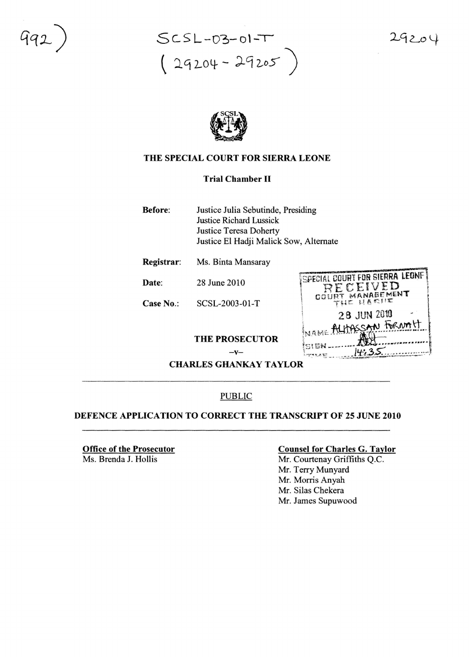$SCSL - D3 - O1 - T$  $(24204 - 29205)$   $29204$ 



# THE SPECIAL COURT FOR SIERRA LEONE

# Trial Chamber II

- Before: Justice Julia Sebutinde, Presiding Justice Richard Lussick Justice Teresa Doherty Justice EI Hadji Malick Sow, Alternate
- Registrar: Ms. Binta Mansaray
- Date: 28 June 2010
- Case No.: SCSL-2003-01-T

| $\mathcal{L}$ . And $\mathcal{L}$ and $\mathcal{L}$<br>COURT MANAGEMENT<br>THE HARIIE |  |
|---------------------------------------------------------------------------------------|--|
| 28 JUN 2010                                                                           |  |
| INAME ALLASSAN FORMALT                                                                |  |
| <b>ISISN</b><br>$-2449.522$                                                           |  |

SPECIAL COURT FOR SIERRA LEONE RECEIVED

THE PROSECUTOR

 $-\mathbf{V}$ 

**CHARLES GHANKAY TAYLOR** 

### PUBLIC

## DEFENCE APPLICATION TO CORRECT THE TRANSCRIPT OF 25 JUNE 2010

Office of the Prosecutor Ms. Brenda J. Hollis

### Counsel for Charles G. Taylor

Mr. Courtenay Griffiths Q.c. Mr. Terry Munyard Mr. Morris Anyah Mr. Silas Chekera Mr. James Supuwood